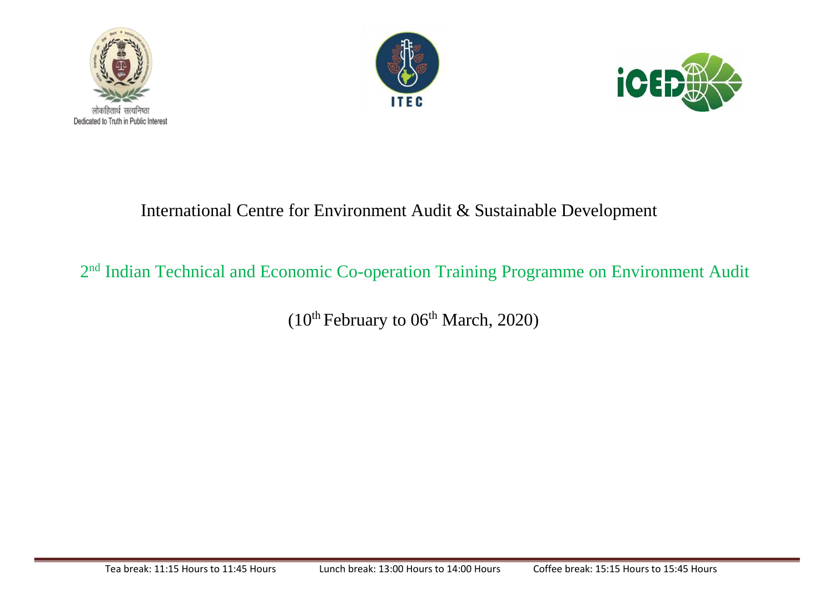





## International Centre for Environment Audit & Sustainable Development

# 2<sup>nd</sup> Indian Technical and Economic Co-operation Training Programme on Environment Audit

 $(10<sup>th</sup> February to 06<sup>th</sup> March, 2020)$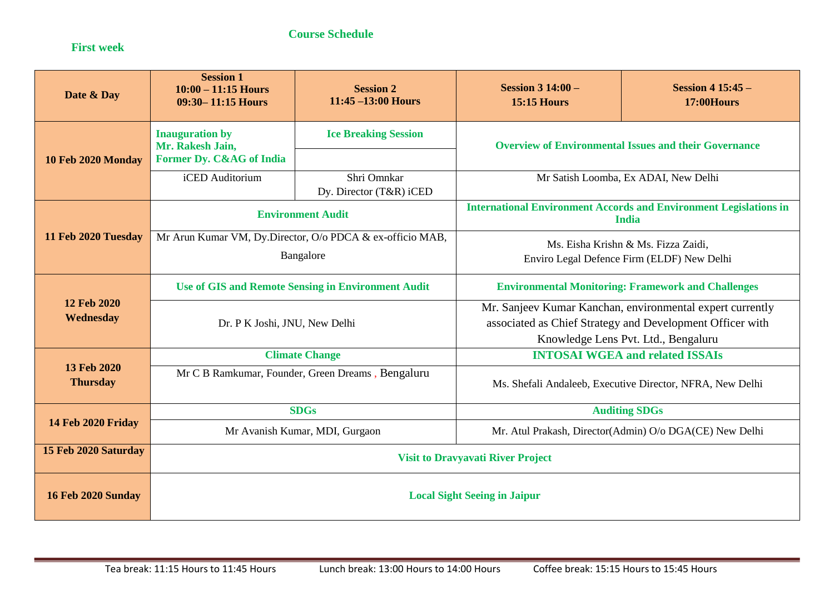#### **Course Schedule**

#### **First week**

| Date & Day                     | <b>Session 1</b><br>$10:00 - 11:15$ Hours<br>09:30-11:15 Hours | <b>Session 2</b><br>$11:45 - 13:00$ Hours | Session $3\,14:00-$<br><b>15:15 Hours</b>                                     | <b>Session 4 15:45 -</b><br><b>17:00Hours</b> |
|--------------------------------|----------------------------------------------------------------|-------------------------------------------|-------------------------------------------------------------------------------|-----------------------------------------------|
| 10 Feb 2020 Monday             | <b>Inauguration by</b><br>Mr. Rakesh Jain,                     | <b>Ice Breaking Session</b>               | <b>Overview of Environmental Issues and their Governance</b>                  |                                               |
|                                | Former Dy. C&AG of India                                       |                                           |                                                                               |                                               |
|                                | iCED Auditorium                                                | Shri Omnkar<br>Dy. Director (T&R) iCED    | Mr Satish Loomba, Ex ADAI, New Delhi                                          |                                               |
|                                |                                                                |                                           | <b>International Environment Accords and Environment Legislations in</b>      |                                               |
| 11 Feb 2020 Tuesday            | <b>Environment Audit</b>                                       |                                           | <b>India</b>                                                                  |                                               |
|                                | Mr Arun Kumar VM, Dy.Director, O/o PDCA & ex-officio MAB,      |                                           | Ms. Eisha Krishn & Ms. Fizza Zaidi,                                           |                                               |
|                                | Bangalore                                                      |                                           | Enviro Legal Defence Firm (ELDF) New Delhi                                    |                                               |
| 12 Feb 2020<br>Wednesday       | <b>Use of GIS and Remote Sensing in Environment Audit</b>      |                                           | <b>Environmental Monitoring: Framework and Challenges</b>                     |                                               |
|                                | Dr. P K Joshi, JNU, New Delhi                                  |                                           | Mr. Sanjeev Kumar Kanchan, environmental expert currently                     |                                               |
|                                |                                                                |                                           | associated as Chief Strategy and Development Officer with                     |                                               |
|                                | <b>Climate Change</b>                                          |                                           | Knowledge Lens Pvt. Ltd., Bengaluru<br><b>INTOSAI WGEA and related ISSAIs</b> |                                               |
| 13 Feb 2020<br><b>Thursday</b> | Mr C B Ramkumar, Founder, Green Dreams, Bengaluru              |                                           |                                                                               |                                               |
|                                |                                                                |                                           | Ms. Shefali Andaleeb, Executive Director, NFRA, New Delhi                     |                                               |
| <b>14 Feb 2020 Friday</b>      | <b>SDGs</b>                                                    |                                           | <b>Auditing SDGs</b>                                                          |                                               |
|                                | Mr Avanish Kumar, MDI, Gurgaon                                 |                                           | Mr. Atul Prakash, Director(Admin) O/o DGA(CE) New Delhi                       |                                               |
| 15 Feb 2020 Saturday           | <b>Visit to Dravyavati River Project</b>                       |                                           |                                                                               |                                               |
| <b>16 Feb 2020 Sunday</b>      | <b>Local Sight Seeing in Jaipur</b>                            |                                           |                                                                               |                                               |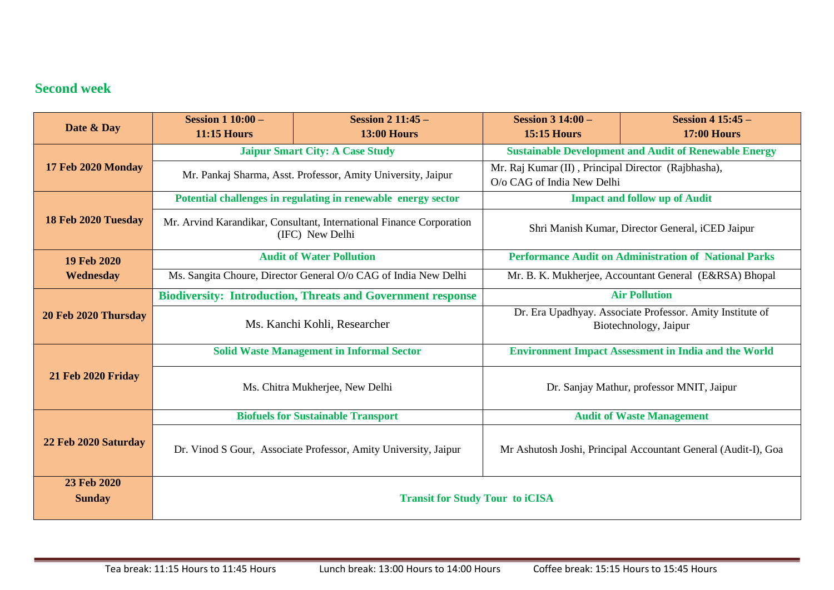## **Second week**

| Date & Day                   | <b>Session 1 10:00 -</b><br><b>11:15 Hours</b>                                                  | <b>Session 2 11:45 -</b><br><b>13:00 Hours</b> | <b>Session 3 14:00 -</b><br><b>15:15 Hours</b>                                     | <b>Session 4 15:45 -</b><br><b>17:00 Hours</b> |
|------------------------------|-------------------------------------------------------------------------------------------------|------------------------------------------------|------------------------------------------------------------------------------------|------------------------------------------------|
|                              | <b>Jaipur Smart City: A Case Study</b>                                                          |                                                | <b>Sustainable Development and Audit of Renewable Energy</b>                       |                                                |
| 17 Feb 2020 Monday           | Mr. Pankaj Sharma, Asst. Professor, Amity University, Jaipur                                    |                                                | Mr. Raj Kumar (II), Principal Director (Rajbhasha),<br>O/o CAG of India New Delhi  |                                                |
| 18 Feb 2020 Tuesday          | Potential challenges in regulating in renewable energy sector                                   |                                                | <b>Impact and follow up of Audit</b>                                               |                                                |
|                              | Mr. Arvind Karandikar, Consultant, International Finance Corporation<br>(IFC) New Delhi         |                                                | Shri Manish Kumar, Director General, iCED Jaipur                                   |                                                |
| 19 Feb 2020                  | <b>Audit of Water Pollution</b><br><b>Performance Audit on Administration of National Parks</b> |                                                |                                                                                    |                                                |
| Wednesday                    | Ms. Sangita Choure, Director General O/o CAG of India New Delhi                                 |                                                | Mr. B. K. Mukherjee, Accountant General (E&RSA) Bhopal                             |                                                |
| 20 Feb 2020 Thursday         | <b>Biodiversity: Introduction, Threats and Government response</b>                              |                                                | <b>Air Pollution</b>                                                               |                                                |
|                              | Ms. Kanchi Kohli, Researcher                                                                    |                                                | Dr. Era Upadhyay. Associate Professor. Amity Institute of<br>Biotechnology, Jaipur |                                                |
|                              | <b>Solid Waste Management in Informal Sector</b>                                                |                                                | <b>Environment Impact Assessment in India and the World</b>                        |                                                |
| <b>21 Feb 2020 Friday</b>    | Ms. Chitra Mukherjee, New Delhi                                                                 |                                                | Dr. Sanjay Mathur, professor MNIT, Jaipur                                          |                                                |
| 22 Feb 2020 Saturday         | <b>Biofuels for Sustainable Transport</b>                                                       |                                                | <b>Audit of Waste Management</b>                                                   |                                                |
|                              | Dr. Vinod S Gour, Associate Professor, Amity University, Jaipur                                 |                                                | Mr Ashutosh Joshi, Principal Accountant General (Audit-I), Goa                     |                                                |
| 23 Feb 2020<br><b>Sunday</b> | <b>Transit for Study Tour to iCISA</b>                                                          |                                                |                                                                                    |                                                |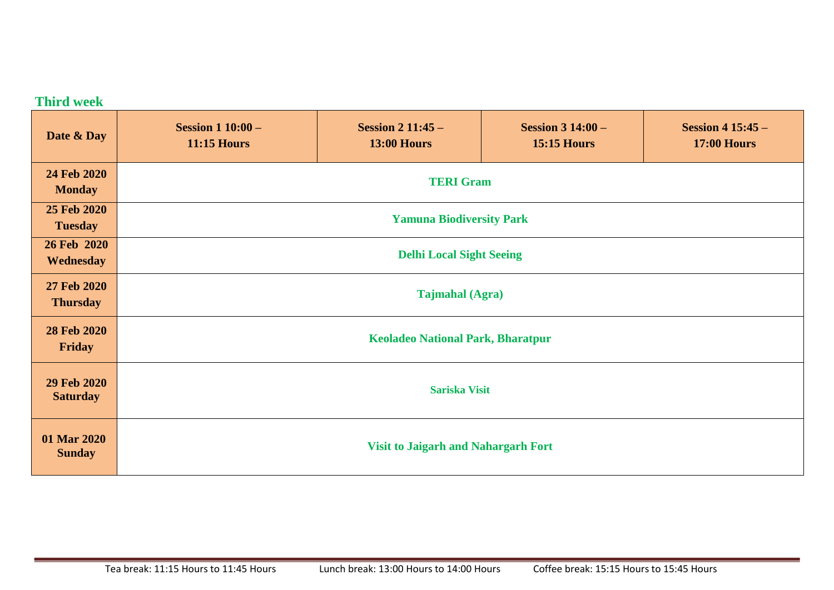## **Third week**

| Date & Day                     | <b>Session 1 10:00 -</b><br><b>11:15 Hours</b> | <b>Session 2 11:45 -</b><br><b>13:00 Hours</b> | <b>Session 3 14:00 –</b><br><b>15:15 Hours</b> | <b>Session 4 15:45 -</b><br><b>17:00 Hours</b> |
|--------------------------------|------------------------------------------------|------------------------------------------------|------------------------------------------------|------------------------------------------------|
| 24 Feb 2020<br><b>Monday</b>   | <b>TERI Gram</b>                               |                                                |                                                |                                                |
| 25 Feb 2020<br><b>Tuesday</b>  | <b>Yamuna Biodiversity Park</b>                |                                                |                                                |                                                |
| 26 Feb 2020<br>Wednesday       | <b>Delhi Local Sight Seeing</b>                |                                                |                                                |                                                |
| 27 Feb 2020<br><b>Thursday</b> | <b>Tajmahal</b> (Agra)                         |                                                |                                                |                                                |
| 28 Feb 2020<br>Friday          | <b>Keoladeo National Park, Bharatpur</b>       |                                                |                                                |                                                |
| 29 Feb 2020<br><b>Saturday</b> | <b>Sariska Visit</b>                           |                                                |                                                |                                                |
| 01 Mar 2020<br><b>Sunday</b>   | <b>Visit to Jaigarh and Nahargarh Fort</b>     |                                                |                                                |                                                |